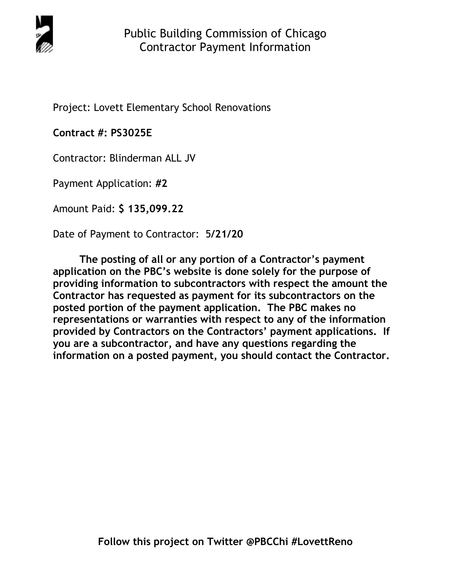

Project: Lovett Elementary School Renovations

**Contract #: PS3025E** 

Contractor: Blinderman ALL JV

Payment Application: **#2** 

Amount Paid: **\$ 135,099.22** 

Date of Payment to Contractor: 5**/21/20** 

**The posting of all or any portion of a Contractor's payment application on the PBC's website is done solely for the purpose of providing information to subcontractors with respect the amount the Contractor has requested as payment for its subcontractors on the posted portion of the payment application. The PBC makes no representations or warranties with respect to any of the information provided by Contractors on the Contractors' payment applications. If you are a subcontractor, and have any questions regarding the information on a posted payment, you should contact the Contractor.**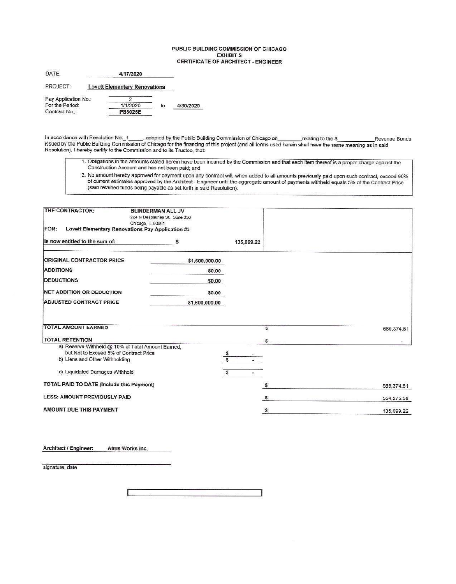#### PUBLIC BUILDING COMMISSION OF CHICAGO **EXHIBIT S** CERTIFICATE OF ARCHITECT - ENGINEER

| DATE:                | 4/17/2020                            |    |           |
|----------------------|--------------------------------------|----|-----------|
| PROJECT:             | <b>Lovett Elementary Renovations</b> |    |           |
| Pay Application No.: |                                      |    |           |
| For the Period:      | 1/1/2020                             | to | 4/30/2020 |
| Contract No.:        | <b>PS3025E</b>                       |    |           |

In accordance with Resolution No. 1 \_\_\_\_\_, adopted by the Public Building Commission of Chicago on\_\_\_\_\_\_\_,relating to the \$\_\_\_\_\_\_\_Reven<br>issued by the Public Building Commission of Chicago for the financing of this project Revenue Bonds Resolution), I hereby certify to the Commission and to its Trustee, that:

- 1. Obligations in the amounts stated herein have been incurred by the Commission and that each item thereof is a proper charge against the Construction Account and has not been paid; and
- 2. No amount hereby approved for payment upon any contract will, when added to all amounts previously paid upon such contract, exceed 90% of current estimates approved by the Architect - Engineer until the aggregate amount of payments withheld equals 5% of the Contract Price (said retained funds being payable as set forth in said Resolution).

| THE CONTRACTOR:<br>FOR:                                                                                                       | <b>BLINDERMAN ALL JV</b><br>224 N Desplaines St., Suite 650<br>Chicago, IL 60661<br>Lovett Elementary Renovations Pay Application #2 |            |            |
|-------------------------------------------------------------------------------------------------------------------------------|--------------------------------------------------------------------------------------------------------------------------------------|------------|------------|
| Is now entitled to the sum of:                                                                                                | Ŝ                                                                                                                                    | 135,099.22 |            |
|                                                                                                                               |                                                                                                                                      |            |            |
| <b>ORIGINAL CONTRACTOR PRICE</b>                                                                                              | \$1,600,000.00                                                                                                                       |            |            |
| <b>ADDITIONS</b>                                                                                                              | \$0.00                                                                                                                               |            |            |
| <b>DEDUCTIONS</b>                                                                                                             | \$0.00                                                                                                                               |            |            |
| NET ADDITION OR DEDUCTION                                                                                                     | \$0.00                                                                                                                               |            |            |
| <b>ADJUSTED CONTRACT PRICE</b>                                                                                                | \$1,600,000.00                                                                                                                       |            |            |
| <b>TOTAL AMOUNT EARNED</b>                                                                                                    |                                                                                                                                      | s          | 689,374.81 |
| <b>TOTAL RETENTION</b>                                                                                                        |                                                                                                                                      | s          |            |
| a) Reserve Withheld @ 10% of Total Amount Earned,<br>but Not to Exceed 5% of Contract Price<br>b) Liens and Other Withholding |                                                                                                                                      | \$<br>Ŝ    |            |
| c) Liquidated Damages Withheld                                                                                                |                                                                                                                                      | S          |            |
| <b>TOTAL PAID TO DATE (Include this Payment)</b>                                                                              |                                                                                                                                      | s          | 689,374.81 |
| <b>LESS: AMOUNT PREVIOUSLY PAID</b>                                                                                           |                                                                                                                                      |            | 554,275.59 |
|                                                                                                                               |                                                                                                                                      |            |            |

| Architect / Engineer: |  |  | Altus Works Inc. |  |  |
|-----------------------|--|--|------------------|--|--|
|-----------------------|--|--|------------------|--|--|

signature, date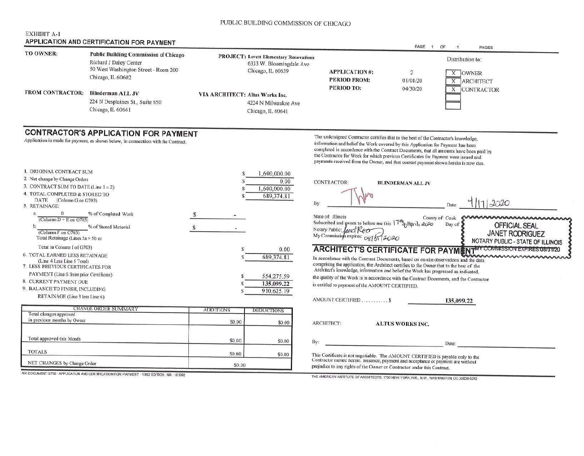# PUBLIC BUILDING COMMISSION OF CHICAGO

### **EXHIBIT A-1** APPLICATION AND CERTIFICATION FOR BAYMENT

| TO OWNER:                                                                                                                                                                              | Public Building Commission of Chicago<br>Richard J Daley Center<br>50 West Washington Street - Room 200                          |                                 | <b>PROJECT: Lovett Elementary Renovations</b><br>6333 W. Bloomingdale Ave |                                                                                                                                                                                                                                                                                                                                                                                                                                                   |                            | Distribution to:            |                                                                                                          |
|----------------------------------------------------------------------------------------------------------------------------------------------------------------------------------------|----------------------------------------------------------------------------------------------------------------------------------|---------------------------------|---------------------------------------------------------------------------|---------------------------------------------------------------------------------------------------------------------------------------------------------------------------------------------------------------------------------------------------------------------------------------------------------------------------------------------------------------------------------------------------------------------------------------------------|----------------------------|-----------------------------|----------------------------------------------------------------------------------------------------------|
|                                                                                                                                                                                        | Chicago, IL 60602                                                                                                                |                                 | Chicago, IL 60639                                                         | <b>APPLICATION#:</b><br>PERIOD FROM:<br>PERIOD TO:                                                                                                                                                                                                                                                                                                                                                                                                | $\overline{2}$<br>01/01/20 | X OWNER<br>X ARCHITECT      |                                                                                                          |
| <b>FROM CONTRACTOR:</b>                                                                                                                                                                | Blinderman ALL JV<br>224 N Desplaines St., Suite 650<br>Chicago, IL 60661                                                        | VIA ARCHITECT: Altus Works Inc. | 4224 N Milwaukee Ave<br>Chicago, IL 60641                                 |                                                                                                                                                                                                                                                                                                                                                                                                                                                   | 04/30/20                   |                             | X CONTRACTOR                                                                                             |
|                                                                                                                                                                                        | <b>CONTRACTOR'S APPLICATION FOR PAYMENT</b><br>Application is made for payment, as shown below, in connection with the Contract. |                                 |                                                                           | The undersigned Contractor certifies that to the best of the Contractor's knowledge,<br>information and belief the Work covered by this Application for Payment has been<br>completed in accordance with the Contract Documents, that all amounts have been paid by<br>the Contractor for Work for which previous Certificates for Payment were issued and<br>payments received from the Owner, and that current payment shown herein is now due. |                            |                             |                                                                                                          |
| 1. ORIGINAL CONTRACT SUM<br>2. Net change by Change Orders<br>3. CONTRACT SUM TO DATE (Line $1 = 2$ )<br>4. TOTAL COMPLETED & STORED TO<br>DATE<br>(Column G on G703)<br>5. RETAINAGE: |                                                                                                                                  |                                 | 1,600,000.00<br>0.00.<br>1,600,000.00<br>689,374.81<br>By:                | <b>CONTRACTOR:</b>                                                                                                                                                                                                                                                                                                                                                                                                                                | <b>BLINDERMAN ALL JV</b>   | Date:                       | 11,2020                                                                                                  |
| $\theta$<br>a.<br>(Column $D + E$ on $G703$ )<br>$b$<br>(Column F on G703)<br>Total Retainage (Lines $5a + 5b$ or                                                                      | % of Completed Work<br>% of Stored Material                                                                                      |                                 |                                                                           | State of: Illinois<br>Subscribed and sworn to before me this 17 <sup>th</sup> <sub>2</sub> Hprih 2020<br>Notary Public:<br>fametRoo<br>My Commission expires: 08/51/2020                                                                                                                                                                                                                                                                          |                            | County of: Cook<br>Day of 2 | nnnnnnnnnnnnnnnnn<br><b>OFFICIAL SEAL</b><br><b>JANET RODRIGUEZ</b><br>NOTARY PUBLIC - STATE OF ILLINOIS |
| Total in Column I of G703)<br>6. TOTAL EARNED LESS RETAINAGE<br>(Line 4 Less Line 5 Total)<br>7. LESS PREVIOUS CERTIFICATES FOR                                                        |                                                                                                                                  | S                               | 0.00<br>689,374.81                                                        | In accordance with the Contract Documents, based on on-site observations and the data<br>comprising the application, the Architect certifies to the Owner that to the best of the<br>Architect's knowledge, information and belief the Work has progressed as indicated,                                                                                                                                                                          |                            |                             | <b>ARCHITECT'S CERTIFICATE FOR PAYMENT<sup>MY COMMISSION EXPIRES:08/31/20</sup></b>                      |
| PAYMENT (Line 6 from prior Certificate)<br>8. CURRENT PAYMENT DUE<br>9. BALANCE TO FINISH, INCLUDING<br>RETAINAGE (Line 3 less Line 6)                                                 |                                                                                                                                  |                                 | 554,275.59<br>135,099.22<br>910,625.19                                    | the quality of the Work is in accordance with the Contract Documents, and the Contractor<br>is entitled to payment of the AMOUNT CERTIFIED.                                                                                                                                                                                                                                                                                                       |                            |                             |                                                                                                          |
|                                                                                                                                                                                        |                                                                                                                                  |                                 |                                                                           | AMOUNT CERTIFIED \$                                                                                                                                                                                                                                                                                                                                                                                                                               |                            | 135,099.22                  |                                                                                                          |
| Total changes approved<br>in previous months by Owner                                                                                                                                  | <b>CHANGE ORDER SUMMARY</b>                                                                                                      | <b>ADDITIONS</b><br>S0.00       | <b>DEDUCTIONS</b><br>\$0.00                                               | ARCHITECT:                                                                                                                                                                                                                                                                                                                                                                                                                                        | <b>ALTUS WORKS INC.</b>    |                             |                                                                                                          |
| Total approved this Month                                                                                                                                                              |                                                                                                                                  | \$0.00                          | S0.00<br>By:                                                              |                                                                                                                                                                                                                                                                                                                                                                                                                                                   |                            | Date:                       |                                                                                                          |
| <b>TOTALS</b>                                                                                                                                                                          |                                                                                                                                  | S0.00                           | \$0.00                                                                    | This Certificate is not negotiable. The AMOUNT CERTIFIED is payable only to the                                                                                                                                                                                                                                                                                                                                                                   |                            |                             |                                                                                                          |
| NET CHANGES by Change Order                                                                                                                                                            |                                                                                                                                  | \$0.00                          |                                                                           | Contractor named herem. Issuance, payment and acceptance of payment are without<br>prejudice to any rights of the Owner or Contractor under this Contract.                                                                                                                                                                                                                                                                                        |                            |                             |                                                                                                          |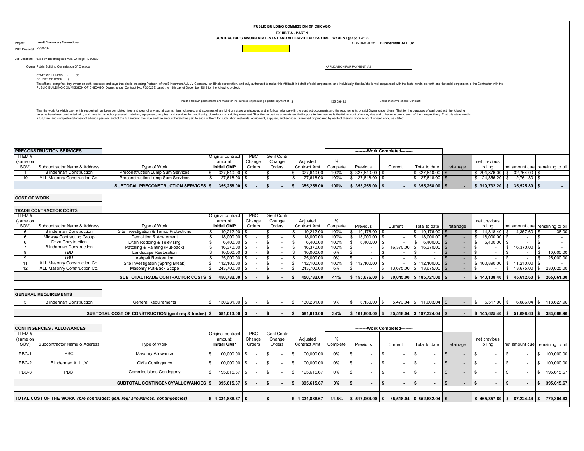|                       |                                                              |                                                                                                                                                                                                                                                                                                                                                                                                                                                                  |                                                                                             |                  | PUBLIC BUILDING COMMISSION OF CHICAGO |                           |                          |                  |                            |                                                               |                                            |           |                          |                                    |                                                      |
|-----------------------|--------------------------------------------------------------|------------------------------------------------------------------------------------------------------------------------------------------------------------------------------------------------------------------------------------------------------------------------------------------------------------------------------------------------------------------------------------------------------------------------------------------------------------------|---------------------------------------------------------------------------------------------|------------------|---------------------------------------|---------------------------|--------------------------|------------------|----------------------------|---------------------------------------------------------------|--------------------------------------------|-----------|--------------------------|------------------------------------|------------------------------------------------------|
|                       |                                                              |                                                                                                                                                                                                                                                                                                                                                                                                                                                                  |                                                                                             |                  |                                       | <b>EXHIBIT A - PART 1</b> |                          |                  |                            |                                                               |                                            |           |                          |                                    |                                                      |
| Project:              | <b>Lovett Elementary Renovations</b>                         |                                                                                                                                                                                                                                                                                                                                                                                                                                                                  | CONTRACTOR'S SWORN STATEMENT AND AFFIDAVIT FOR PARTIAL PAYMENT (page 1 of 2)                |                  |                                       |                           |                          |                  |                            | CONTRACTOR: Blinderman ALL JV                                 |                                            |           |                          |                                    |                                                      |
| PBC Project # PS3025E |                                                              |                                                                                                                                                                                                                                                                                                                                                                                                                                                                  |                                                                                             |                  |                                       |                           |                          |                  |                            |                                                               |                                            |           |                          |                                    |                                                      |
|                       | Job Location: 6333 W Bloomingdale Ave, Chicago, IL 60639     |                                                                                                                                                                                                                                                                                                                                                                                                                                                                  |                                                                                             |                  |                                       |                           |                          |                  |                            |                                                               |                                            |           |                          |                                    |                                                      |
|                       | Owner Public Building Commission Of Chicago                  |                                                                                                                                                                                                                                                                                                                                                                                                                                                                  |                                                                                             |                  |                                       |                           |                          |                  | APPLICATION FOR PAYMENT #2 |                                                               |                                            |           |                          |                                    |                                                      |
|                       | STATE OF ILLINOIS }<br>SS                                    |                                                                                                                                                                                                                                                                                                                                                                                                                                                                  |                                                                                             |                  |                                       |                           |                          |                  |                            |                                                               |                                            |           |                          |                                    |                                                      |
|                       | COUNTY OF COOK }                                             | The affiant, being first duly sworn on oath, deposes and says that she is an acting Partner, of the Blinderman ALL JV Company, an Illinois corporation, and duly authorized to make this Affidavit in behalf of said corporati                                                                                                                                                                                                                                   |                                                                                             |                  |                                       |                           |                          |                  |                            |                                                               |                                            |           |                          |                                    |                                                      |
|                       |                                                              | PUBLIC BUILDING COMMISSION OF CHICAGO, Owner, under Contract No. PS3025E dated the 18th day of December 2019 for the following project:                                                                                                                                                                                                                                                                                                                          |                                                                                             |                  |                                       |                           |                          |                  |                            |                                                               |                                            |           |                          |                                    |                                                      |
|                       |                                                              |                                                                                                                                                                                                                                                                                                                                                                                                                                                                  |                                                                                             |                  |                                       |                           |                          |                  |                            |                                                               |                                            |           |                          |                                    |                                                      |
|                       |                                                              |                                                                                                                                                                                                                                                                                                                                                                                                                                                                  | that the following statements are made for the purpose of procuring a partial payment of \$ |                  |                                       |                           |                          | 135,099.22       |                            | under the terms of said Contract                              |                                            |           |                          |                                    |                                                      |
|                       |                                                              | That the work for which payment is requested has been completed, free and clear of any and all claims, liens, charges, and expenses of any kind or nature whatsoever, and in full compliance with the contract documents and t<br>persons have been contracted with, and have furnished or prepared materials, equipment, supplies, and services for, and having done labor on said improvement. That the respective amounts set forth opposite their names is t |                                                                                             |                  |                                       |                           |                          |                  |                            |                                                               |                                            |           |                          |                                    |                                                      |
|                       |                                                              | a full, true, and complete statement of all such persons and of the full amount now due and the amount heretofore paid to each of them for such labor, materials, equipment, supplies, and services, furnished or prepared by                                                                                                                                                                                                                                    |                                                                                             |                  |                                       |                           |                          |                  |                            |                                                               |                                            |           |                          |                                    |                                                      |
|                       |                                                              |                                                                                                                                                                                                                                                                                                                                                                                                                                                                  |                                                                                             |                  |                                       |                           |                          |                  |                            |                                                               |                                            |           |                          |                                    |                                                      |
|                       |                                                              |                                                                                                                                                                                                                                                                                                                                                                                                                                                                  |                                                                                             |                  |                                       |                           |                          |                  |                            |                                                               |                                            |           |                          |                                    |                                                      |
|                       |                                                              |                                                                                                                                                                                                                                                                                                                                                                                                                                                                  |                                                                                             |                  |                                       |                           |                          |                  |                            |                                                               |                                            |           |                          |                                    |                                                      |
|                       | PRECONSTRUCTION SERVICES                                     |                                                                                                                                                                                                                                                                                                                                                                                                                                                                  |                                                                                             |                  |                                       |                           |                          |                  |                            | --------Work Completed--------                                |                                            |           |                          |                                    |                                                      |
| <b>ITEM#</b>          |                                                              |                                                                                                                                                                                                                                                                                                                                                                                                                                                                  | Original contract                                                                           | PBC              | Genl Contr                            |                           |                          |                  |                            |                                                               |                                            |           |                          |                                    |                                                      |
| (same on<br>SOV)      | Subcontractor Name & Address                                 | Type of Work                                                                                                                                                                                                                                                                                                                                                                                                                                                     | amount:<br><b>Initial GMP</b>                                                               | Change<br>Orders | Change<br>Orders                      |                           | Adjusted<br>Contract Amt | %<br>Complete    | Previous                   | Current                                                       | Total to date                              | retainage | net previous<br>billing  |                                    | net amount due remaining to bill                     |
|                       | <b>Blinderman Construction</b>                               | Preconstruction Lump Sum Services                                                                                                                                                                                                                                                                                                                                                                                                                                | \$<br>327,640.00                                                                            | \$               |                                       | \$                        | 327,640.00               | 100%             | \$327,640.00               |                                                               | \$327,640.00                               |           |                          | $$294,876.00 \;   \; $32,764.00$   |                                                      |
| 10                    | ALL Masonry Construction Co.                                 | Preconstruction Lump Sum Services                                                                                                                                                                                                                                                                                                                                                                                                                                | \$<br>$27,618.00$ \$                                                                        | $\sim$           | \$<br>$\sim$                          | \$                        | 27,618.00                | 100%             | \$ 27,618.00               | - \$<br>$\sim$                                                | \$27,618.00                                |           | \$ 24,856.20             | \$<br>2,761.80                     | \$.<br>$\sim$                                        |
|                       |                                                              | SUBTOTAL PRECONSTRUCTION SERVICES \$                                                                                                                                                                                                                                                                                                                                                                                                                             | 355,258.00                                                                                  | S.               |                                       | s.                        | 355,258.00               | 100%             | \$355,258.00               |                                                               | \$355,258.00                               |           | \$319,732.20             | \$35,525.80                        |                                                      |
| <b>COST OF WORK</b>   |                                                              |                                                                                                                                                                                                                                                                                                                                                                                                                                                                  |                                                                                             |                  |                                       |                           |                          |                  |                            |                                                               |                                            |           |                          |                                    |                                                      |
|                       |                                                              |                                                                                                                                                                                                                                                                                                                                                                                                                                                                  |                                                                                             |                  |                                       |                           |                          |                  |                            |                                                               |                                            |           |                          |                                    |                                                      |
|                       | <b>TRADE CONTRACTOR COSTS</b>                                |                                                                                                                                                                                                                                                                                                                                                                                                                                                                  |                                                                                             |                  |                                       |                           |                          |                  |                            |                                                               |                                            |           |                          |                                    |                                                      |
| <b>ITEM#</b>          |                                                              |                                                                                                                                                                                                                                                                                                                                                                                                                                                                  | Original contract                                                                           | <b>PBC</b>       | <b>Genl Contr</b>                     |                           |                          |                  |                            |                                                               |                                            |           |                          |                                    |                                                      |
| (same on<br>SOV)      | Subcontractor Name & Address                                 | Type of Work                                                                                                                                                                                                                                                                                                                                                                                                                                                     | amount:<br><b>Initial GMP</b>                                                               | Change<br>Orders | Change<br>Orders                      |                           | Adjusted<br>Contract Amt | %<br>Complete    | Previous                   | Current                                                       | Total to date                              | retainage | net previous<br>billing  | net amount duel                    | remaining to bill                                    |
| 6                     | <b>Blinderman Construction</b>                               | Site Investigation & Temp. Protections                                                                                                                                                                                                                                                                                                                                                                                                                           | 19,212.00<br>\$                                                                             | \$               | \$                                    | \$                        | 19,212.00                | 100%             | \$ 19,176.00               | \$                                                            | \$19,176.00                                |           | 14,818.40 \$<br>\$       | 4,357.60                           | \$<br>36.00                                          |
| 6                     | <b>Midway Contracting Group</b>                              | Demolition & Abatement                                                                                                                                                                                                                                                                                                                                                                                                                                           | \$<br>18,000.00                                                                             | \$               | \$.                                   | \$                        | 18,000.00                | 100%             | \$<br>18,000.00            | \$                                                            | 18,000.00<br>$\sqrt{3}$                    |           | 18,000.00<br>\$          |                                    | \$.                                                  |
| 6                     | <b>Drive Construction</b><br><b>Blinderman Construction</b>  | Drain Rodding & Televising<br>Patching & Painting (Put-back)                                                                                                                                                                                                                                                                                                                                                                                                     | -S<br>$6,400.00$ \$<br>\$<br>16,370.00 \$                                                   | $\mathbb{Z}^2$   | \$<br>$\sim$<br>$\sim$<br>-S          | \$<br>- \$                | 6,400.00<br>16,370.00    | 100%<br>100%     | \$<br>6,400.00<br>-S       | - \$<br>16,370.00 \$<br>-S                                    | -S<br>6,400.00<br>16,370.00                | $\sim$    | \$<br>6,400.00<br>- \$   | - 56<br>16,370.00<br>\$.           | \$<br>$\sim$<br>\$<br>$\sim$                         |
| $\mathbf{Q}$          | TBD                                                          | Landscape Restoration                                                                                                                                                                                                                                                                                                                                                                                                                                            | \$<br>$10,000.00$ \$                                                                        |                  | $\sim$<br>- \$                        | l \$                      | 10,000.00                | 0%               | $\mathbf{r}$<br>\$         | \$                                                            | - \$                                       | $\sim$    | - \$<br>$\sim$           | £.                                 | 10,000.00<br>\$                                      |
| $\overline{9}$<br>11  | <b>TBD</b>                                                   | Ashpalt Restoration                                                                                                                                                                                                                                                                                                                                                                                                                                              | $\bullet$<br>25,000.00 \$                                                                   | $\sim$<br>$\sim$ | $\sim$<br>- \$<br>-S<br>$\sim$        | $\bullet$                 | 25,000.00                | 0%               | £.                         | \$                                                            | . ድ                                        |           | - \$                     | £.<br>$\sim$                       | 25,000.00<br>\$<br>\$<br>$\sim$                      |
| 12                    | ALL Masonry Construction Co.<br>ALL Masonry Construction Co. | Site Investigation (Spring Break)<br>Masonry Put-Back Scope                                                                                                                                                                                                                                                                                                                                                                                                      | $\mathbb{S}$<br>$112,100.00$ \$<br>\$<br>243,700.00 \$                                      | $\sim$           | \$<br>$\sim$                          | $\mathbb{S}$<br>\$        | 112,100.00<br>243,700.00 | 100%<br>6%       | \$112,100.00<br>\$         | - \$<br>\$                                                    | $5112,100.00$ \$<br>13,675.00 \$ 13,675.00 |           | \$100,890.00<br>\$       | \$<br>11,210.00<br>13,675.00<br>\$ | 230,025.00<br>\$                                     |
|                       |                                                              | SUBTOTALTRADE CONTRACTOR COSTS \$                                                                                                                                                                                                                                                                                                                                                                                                                                | 450,782.00                                                                                  |                  |                                       |                           | 450,782.00               | 41%              | \$155,676.00               |                                                               | $$30,045.00 \;   \; $185,721.00 \;   \;$   |           | \$140,108.40             | \$45,612.60                        | 265,061.00<br>-S                                     |
|                       |                                                              |                                                                                                                                                                                                                                                                                                                                                                                                                                                                  |                                                                                             |                  |                                       |                           |                          |                  |                            |                                                               |                                            |           |                          |                                    |                                                      |
|                       |                                                              |                                                                                                                                                                                                                                                                                                                                                                                                                                                                  |                                                                                             |                  |                                       |                           |                          |                  |                            |                                                               |                                            |           |                          |                                    |                                                      |
|                       | <b>GENERAL REQUIREMENTS</b>                                  |                                                                                                                                                                                                                                                                                                                                                                                                                                                                  |                                                                                             |                  |                                       |                           |                          |                  |                            |                                                               |                                            |           |                          |                                    |                                                      |
| 5                     | <b>Blinderman Construction</b>                               | <b>General Requirements</b>                                                                                                                                                                                                                                                                                                                                                                                                                                      | 130,231.00<br>S.                                                                            | \$               | \$                                    | \$.                       | 130,231.00               | 9%               | \$<br>6,130.00             | \$                                                            | 5,473.04 \$ 11,603.04                      |           | 5,517.00<br>$\mathbb{S}$ | 6,086.04<br>S.                     | \$ 118,627.96                                        |
|                       |                                                              | SUBTOTAL COST OF CONSTRUCTION (genI req & trades) \$                                                                                                                                                                                                                                                                                                                                                                                                             | 581,013.00 \$                                                                               | $\sim$           | \$                                    | s.                        | 581,013.00               | 34%              | $$161,806.00$ \$           |                                                               | 35,518.04 \$197,324.04 \$                  |           | \$145,625.40             | \$51,698.64                        | 383,688.96<br>$\mathbf{s}$                           |
|                       |                                                              |                                                                                                                                                                                                                                                                                                                                                                                                                                                                  |                                                                                             |                  |                                       |                           |                          |                  |                            |                                                               |                                            |           |                          |                                    |                                                      |
|                       | <b>CONTINGENCIES / ALLOWANCES</b>                            |                                                                                                                                                                                                                                                                                                                                                                                                                                                                  |                                                                                             |                  |                                       |                           |                          |                  |                            | --------Work Completed--------                                |                                            |           |                          |                                    |                                                      |
| ITEM#                 |                                                              |                                                                                                                                                                                                                                                                                                                                                                                                                                                                  | Original contract                                                                           | <b>PBC</b>       | Genl Contr                            |                           |                          |                  |                            |                                                               |                                            |           |                          |                                    |                                                      |
| (same on<br>SOV)      | Subcontractor Name & Address                                 | Type of Work                                                                                                                                                                                                                                                                                                                                                                                                                                                     | amount:<br><b>Initial GMP</b>                                                               | Change<br>Orders | Change<br>Orders                      |                           | Adjusted<br>Contract Amt | $\%$<br>Complete | Previous                   | Current                                                       | Total to date                              | retainage | net previous<br>billing  |                                    | net amount due remaining to bill                     |
|                       |                                                              |                                                                                                                                                                                                                                                                                                                                                                                                                                                                  |                                                                                             |                  |                                       |                           |                          |                  |                            |                                                               |                                            |           |                          |                                    |                                                      |
| PBC-1                 | PBC                                                          | Masonry Allowance                                                                                                                                                                                                                                                                                                                                                                                                                                                | 100,000.00<br>\$                                                                            | \$               |                                       |                           | 100,000.00               | 0%               |                            | \$                                                            | S                                          |           |                          |                                    | \$100,000.00                                         |
| PBC-2                 | Blinderman ALL JV                                            | <b>CM's Contingency</b>                                                                                                                                                                                                                                                                                                                                                                                                                                          | 100,000.00<br>S                                                                             | \$               |                                       |                           | 100,000.00               | 0%               |                            | \$                                                            | <sub>\$</sub>                              |           |                          |                                    | \$ 100,000.00                                        |
| PBC-3                 | PBC                                                          | <b>Commissisions Contingeny</b>                                                                                                                                                                                                                                                                                                                                                                                                                                  | 195,615.67                                                                                  | \$               |                                       |                           | 195,615.67               | 0%               |                            | \$                                                            | \$                                         |           |                          |                                    | \$<br>195,615.67                                     |
|                       |                                                              |                                                                                                                                                                                                                                                                                                                                                                                                                                                                  |                                                                                             |                  |                                       |                           |                          |                  |                            |                                                               |                                            |           |                          |                                    |                                                      |
|                       |                                                              | SUBTOTAL CONTINGENCY/ALLOWANCES \$                                                                                                                                                                                                                                                                                                                                                                                                                               | 395,615.67 \$                                                                               |                  |                                       | s.                        | 395,615.67               | $0\%$            | $\blacksquare$             | \$<br>$\sim$                                                  | \$                                         |           | $\blacksquare$           | Ŝ.<br>$\blacksquare$               | \$ 395,615.67                                        |
|                       |                                                              |                                                                                                                                                                                                                                                                                                                                                                                                                                                                  |                                                                                             |                  |                                       |                           |                          |                  |                            |                                                               |                                            |           |                          |                                    |                                                      |
|                       |                                                              | TOTAL COST OF THE WORK (pre con;trades; genl req; allowances; contingencies)                                                                                                                                                                                                                                                                                                                                                                                     | $$1,331,886.67$ \\$                                                                         |                  | \$                                    |                           | \$1,331,886.67           | 41.5%            |                            | $$517,064.00 \;   \; $35,518.04 \;   \; $52,582.04 \;   \; $$ |                                            |           |                          |                                    | $$465,357.60 \;   \; $87,224.44 \;   \; $779,304.63$ |
|                       |                                                              |                                                                                                                                                                                                                                                                                                                                                                                                                                                                  |                                                                                             |                  |                                       |                           |                          |                  |                            |                                                               |                                            |           |                          |                                    |                                                      |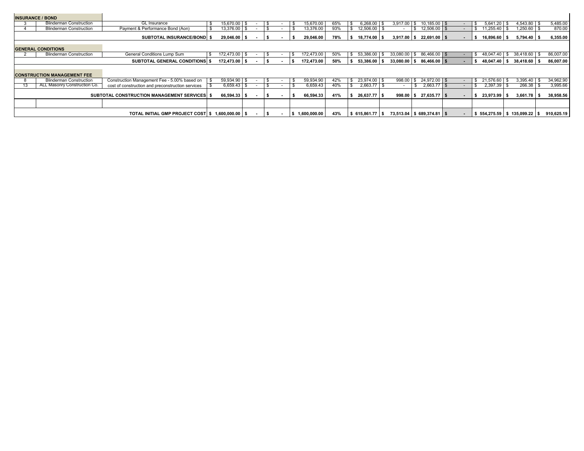| <b>INSURANCE / BOND</b>            |                                                       |    |                |  |                          |              |     |                   |                          |      |                             |                          |    |                     |                                           |            |
|------------------------------------|-------------------------------------------------------|----|----------------|--|--------------------------|--------------|-----|-------------------|--------------------------|------|-----------------------------|--------------------------|----|---------------------|-------------------------------------------|------------|
| <b>Blinderman Construction</b>     | <b>GL</b> Insurance                                   |    | 15,670.00      |  |                          | 15,670.00    | 65% | $6,268.00$ \$     | 3,917.00                 | -S   | $10,185.00$ \$              | $\overline{\phantom{a}}$ | S. | 5.641.20            | $4,543.80$ \ \$                           | 5,485.00   |
| <b>Blinderman Construction</b>     | Payment & Performance Bond (Aon)                      |    | 13,376.00 \$   |  |                          | 13,376.00    | 93% | 12,506.00 \$      |                          |      | $$12,506.00$ \$             | $\blacksquare$           |    | \$11,255.40         | 1,250.60 \$                               | 870.00     |
|                                    | <b>SUBTOTAL INSURANCE/BOND \$</b>                     |    | $29,046.00$ \$ |  |                          | 29,046.00    | 78% | $18,774.00$ \$    | 3,917.00                 | l Si | 22,691.00 \$                | $\blacksquare$           |    | 16,896.60           | $5,794.40$ \$                             | 6,355.00   |
| <b>GENERAL CONDITIONS</b>          |                                                       |    |                |  |                          |              |     |                   |                          |      |                             |                          |    |                     |                                           |            |
| <b>Blinderman Construction</b>     | General Conditions Lump Sum                           | S. | 172,473.00 \$  |  |                          | 172,473.00   | 50% | 53,386.00 \$      |                          |      | $33,080.00$ \$ 86,466.00 \$ |                          |    | $$48,047.40$ \ \ \$ | 38,418.60 \$                              | 86,007.00  |
|                                    | <b>SUBTOTAL GENERAL CONDITIONS \$</b>                 |    | 172,473.00 \$  |  | $\overline{\phantom{a}}$ | 172,473.00   | 50% | 53,386.00 \$      |                          |      | $33,080.00$ \$ 86,466.00 \$ | $\blacksquare$           |    |                     | $$48,047.40 \;   \; $38,418.60 \;   \; $$ | 86,007.00  |
|                                    |                                                       |    |                |  |                          |              |     |                   |                          |      |                             |                          |    |                     |                                           |            |
| <b>CONSTRUCTION MANAGEMENT FEE</b> |                                                       |    |                |  |                          |              |     |                   |                          |      |                             |                          |    |                     |                                           |            |
| <b>Blinderman Construction</b>     | Construction Management Fee - 5.00% based on          |    | 59,934.90 \$   |  |                          | 59,934.90    | 42% | 23,974.00 \$      |                          |      | 998.00 \$ 24,972.00 \$      | $\overline{\phantom{a}}$ |    | \$ 21,576.60        | $3,395.40$ \$                             | 34,962.90  |
| ALL Masonry Construction Co.       | cost of construction and preconstruction services     |    | $6,659.43$ \$  |  |                          | 6,659.43     | 40% | $2,663.77$ \$     | $\overline{\phantom{a}}$ |      | $2,663.77$ \$               | $\blacksquare$           |    | 2,397.39            | $266.38$ \$                               | 3,995.66   |
|                                    | SUBTOTAL CONSTRUCTION MANAGEMENT SERVICES \$          |    | $66,594.33$ \$ |  |                          | 66,594.33    | 41% | 26,637.77 \$      |                          |      | $998.00$ \$ 27,635.77 \$    | $\sim$                   | s. | 23,973.99           | $3,661.78$ \$                             | 38,958.56  |
|                                    |                                                       |    |                |  |                          |              |     |                   |                          |      |                             |                          |    |                     |                                           |            |
|                                    | TOTAL INITIAL GMP PROJECT COST   \$ 1,600,000.00   \$ |    |                |  |                          | 1,600,000.00 | 43% | $$615.861.77$ $$$ |                          |      | 73,513.04 \$689,374.81 \$   | $\sim$                   |    |                     | $$554,275.59$ $$135,099.22$ \$            | 910,625.19 |